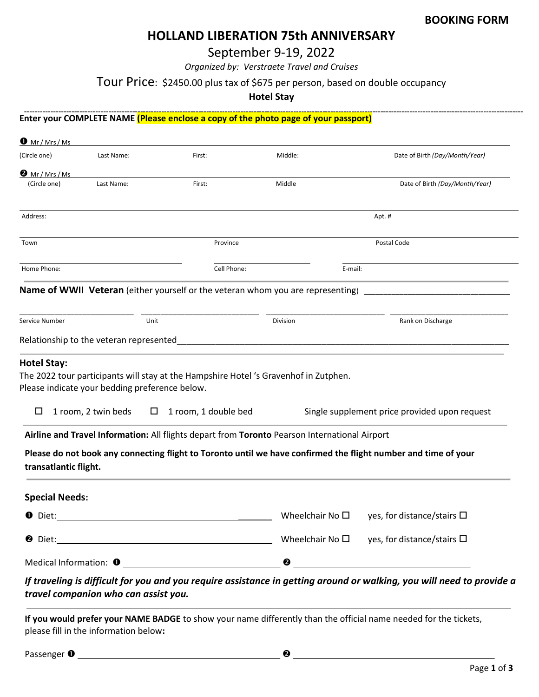# HOLLAND LIBERATION 75th ANNIVERSARY

September 9-19, 2022

Organized by: Verstraete Travel and Cruises

Tour Price: \$2450.00 plus tax of \$675 per person, based on double occupancy

Hotel Stay

-------------------------------------Enter your COMPLETE NAME (Please enclose a copy of the photo page of your passport)

| (Circle one)                                   | Last Name:          |        | First:               |             | Middle:                                                                                       | Date of Birth (Day/Month/Year)                                                                                 |
|------------------------------------------------|---------------------|--------|----------------------|-------------|-----------------------------------------------------------------------------------------------|----------------------------------------------------------------------------------------------------------------|
|                                                |                     |        |                      |             |                                                                                               |                                                                                                                |
| $\bullet$ Mr / Mrs / Ms<br>(Circle one)        | Last Name:          |        | First:               |             | Middle                                                                                        | Date of Birth (Day/Month/Year)                                                                                 |
|                                                |                     |        |                      |             |                                                                                               |                                                                                                                |
| Address:                                       |                     |        |                      |             |                                                                                               | Apt. #                                                                                                         |
| Town                                           |                     |        |                      | Province    |                                                                                               | Postal Code                                                                                                    |
| Home Phone:                                    |                     |        |                      | Cell Phone: | E-mail:                                                                                       |                                                                                                                |
|                                                |                     |        |                      |             | <b>Name of WWII Veteran</b> (either yourself or the veteran whom you are representing)        |                                                                                                                |
|                                                |                     |        |                      |             |                                                                                               |                                                                                                                |
|                                                |                     | Unit   |                      |             | Division                                                                                      | Rank on Discharge                                                                                              |
| Service Number                                 |                     |        |                      |             |                                                                                               |                                                                                                                |
|                                                |                     |        |                      |             |                                                                                               |                                                                                                                |
| Relationship to the veteran represented        |                     |        |                      |             |                                                                                               |                                                                                                                |
|                                                |                     |        |                      |             |                                                                                               |                                                                                                                |
| <b>Hotel Stay:</b>                             |                     |        |                      |             |                                                                                               |                                                                                                                |
| Please indicate your bedding preference below. |                     |        |                      |             | The 2022 tour participants will stay at the Hampshire Hotel 's Gravenhof in Zutphen.          |                                                                                                                |
|                                                |                     |        |                      |             |                                                                                               |                                                                                                                |
| □                                              | 1 room, 2 twin beds | $\Box$ | 1 room, 1 double bed |             |                                                                                               | Single supplement price provided upon request                                                                  |
|                                                |                     |        |                      |             |                                                                                               |                                                                                                                |
|                                                |                     |        |                      |             | Airline and Travel Information: All flights depart from Toronto Pearson International Airport |                                                                                                                |
|                                                |                     |        |                      |             |                                                                                               | Please do not book any connecting flight to Toronto until we have confirmed the flight number and time of your |
| transatlantic flight.                          |                     |        |                      |             |                                                                                               |                                                                                                                |
| <b>Special Needs:</b>                          |                     |        |                      |             |                                                                                               |                                                                                                                |
| <b>O</b> Diet:                                 |                     |        |                      |             | Wheelchair No $\square$                                                                       | yes, for distance/stairs $\square$                                                                             |
|                                                |                     |        |                      |             |                                                                                               | Wheelchair No $\square$ yes, for distance/stairs $\square$                                                     |

If you would prefer your NAME BADGE to show your name differently than the official name needed for the tickets, please fill in the information below:

Passenger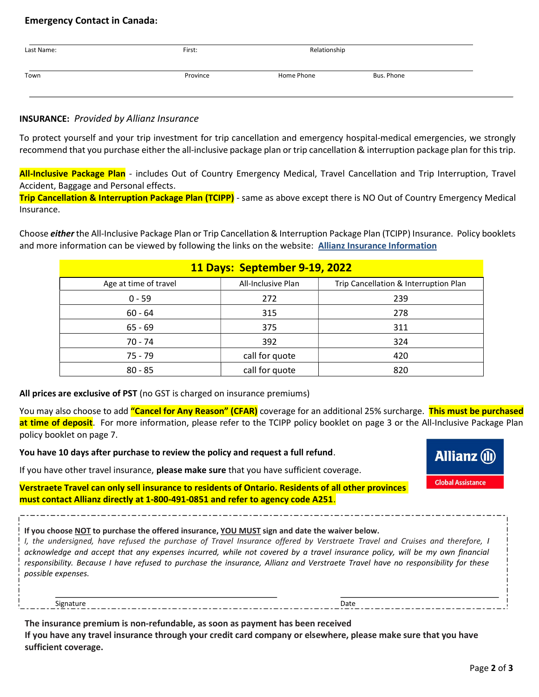#### Emergency Contact in Canada:

| Last Name: | First:   | Relationship |            |
|------------|----------|--------------|------------|
| Town       | Province | Home Phone   | Bus. Phone |

### INSURANCE: Provided by Allianz Insurance

To protect yourself and your trip investment for trip cancellation and emergency hospital-medical emergencies, we strongly recommend that you purchase either the all-inclusive package plan or trip cancellation & interruption package plan for this trip.

All-Inclusive Package Plan - includes Out of Country Emergency Medical, Travel Cancellation and Trip Interruption, Travel Accident, Baggage and Personal effects.

Trip Cancellation & Interruption Package Plan (TCIPP) - same as above except there is NO Out of Country Emergency Medical Insurance.

Choose *either* the All-Inclusive Package Plan or Trip Cancellation & Interruption Package Plan (TCIPP) Insurance. Policy booklets and more information can be viewed by following the links on the website: **Allianz Insurance Information** 

|                       | <b>11 Days: September 9-19, 2022</b> |                                       |
|-----------------------|--------------------------------------|---------------------------------------|
| Age at time of travel | All-Inclusive Plan                   | Trip Cancellation & Interruption Plan |
| $0 - 59$              | 272                                  | 239                                   |
| $60 - 64$             | 315                                  | 278                                   |
| $65 - 69$             | 375                                  | 311                                   |
| 70 - 74               | 392                                  | 324                                   |
| $75 - 79$             | call for quote                       | 420                                   |
| $80 - 85$             | call for quote                       | 820                                   |

#### All prices are exclusive of PST (no GST is charged on insurance premiums)

You may also choose to add "Cancel for Any Reason" (CFAR) coverage for an additional 25% surcharge. This must be purchased at time of deposit. For more information, please refer to the TCIPP policy booklet on page 3 or the All-Inclusive Package Plan policy booklet on page 7.

You have 10 days after purchase to review the policy and request a full refund.

If you have other travel insurance, please make sure that you have sufficient coverage.

Verstraete Travel can only sell insurance to residents of Ontario. Residents of all other provinces must contact Allianz directly at 1-800-491-0851 and refer to agency code A251.

If you choose NOT to purchase the offered insurance, YOU MUST sign and date the waiver below.

I, the undersigned, have refused the purchase of Travel Insurance offered by Verstraete Travel and Cruises and therefore, I acknowledge and accept that any expenses incurred, while not covered by a travel insurance policy, will be my own financial responsibility. Because I have refused to purchase the insurance, Allianz and Verstraete Travel have no responsibility for these possible expenses.

Signature Date

The insurance premium is non-refundable, as soon as payment has been received

If you have any travel insurance through your credit card company or elsewhere, please make sure that you have sufficient coverage.

**Allianz** (ii)

**Global Assistance**